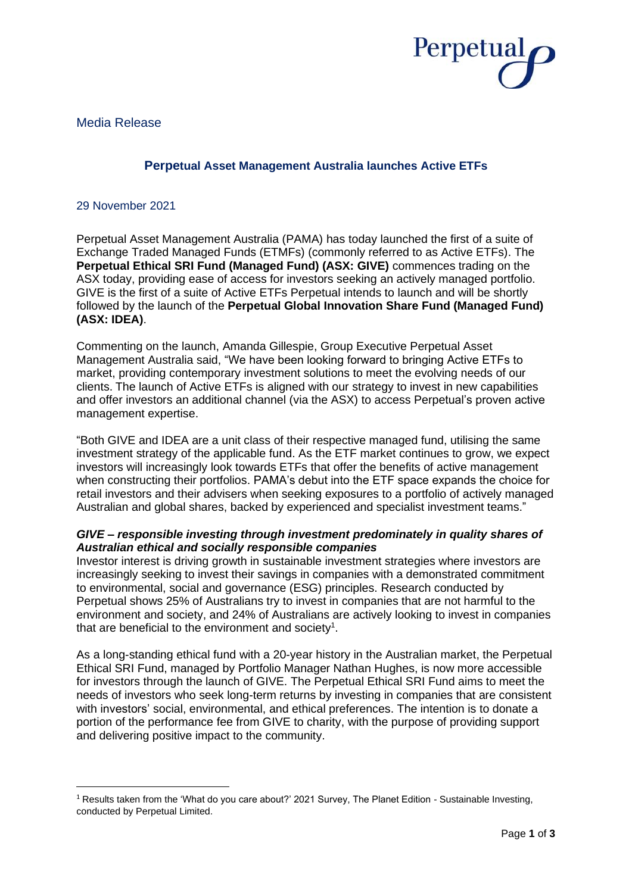

Media Release

# **Perpetual Asset Management Australia launches Active ETFs**

### 29 November 2021

Perpetual Asset Management Australia (PAMA) has today launched the first of a suite of Exchange Traded Managed Funds (ETMFs) (commonly referred to as Active ETFs). The **Perpetual Ethical SRI Fund (Managed Fund) (ASX: GIVE)** commences trading on the ASX today, providing ease of access for investors seeking an actively managed portfolio. GIVE is the first of a suite of Active ETFs Perpetual intends to launch and will be shortly followed by the launch of the **Perpetual Global Innovation Share Fund (Managed Fund) (ASX: IDEA)**.

Commenting on the launch, Amanda Gillespie, Group Executive Perpetual Asset Management Australia said, "We have been looking forward to bringing Active ETFs to market, providing contemporary investment solutions to meet the evolving needs of our clients. The launch of Active ETFs is aligned with our strategy to invest in new capabilities and offer investors an additional channel (via the ASX) to access Perpetual's proven active management expertise.

"Both GIVE and IDEA are a unit class of their respective managed fund, utilising the same investment strategy of the applicable fund. As the ETF market continues to grow, we expect investors will increasingly look towards ETFs that offer the benefits of active management when constructing their portfolios. PAMA's debut into the ETF space expands the choice for retail investors and their advisers when seeking exposures to a portfolio of actively managed Australian and global shares, backed by experienced and specialist investment teams."

## *GIVE – responsible investing through investment predominately in quality shares of Australian ethical and socially responsible companies*

Investor interest is driving growth in sustainable investment strategies where investors are increasingly seeking to invest their savings in companies with a demonstrated commitment to environmental, social and governance (ESG) principles. Research conducted by Perpetual shows 25% of Australians try to invest in companies that are not harmful to the environment and society, and 24% of Australians are actively looking to invest in companies that are beneficial to the environment and society<sup>1</sup>.

As a long-standing ethical fund with a 20-year history in the Australian market, the Perpetual Ethical SRI Fund, managed by Portfolio Manager Nathan Hughes, is now more accessible for investors through the launch of GIVE. The Perpetual Ethical SRI Fund aims to meet the needs of investors who seek long-term returns by investing in companies that are consistent with investors' social, environmental, and ethical preferences. The intention is to donate a portion of the performance fee from GIVE to charity, with the purpose of providing support and delivering positive impact to the community.

<sup>&</sup>lt;sup>1</sup> Results taken from the 'What do you care about?' 2021 Survey, The Planet Edition - Sustainable Investing, conducted by Perpetual Limited.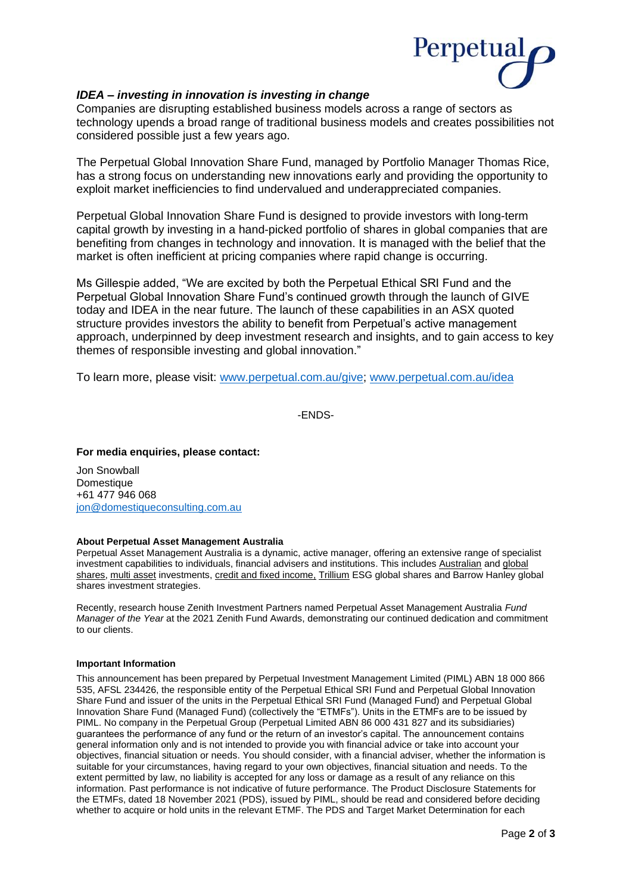

### *IDEA – investing in innovation is investing in change*

Companies are disrupting established business models across a range of sectors as technology upends a broad range of traditional business models and creates possibilities not considered possible just a few years ago.

The Perpetual Global Innovation Share Fund, managed by Portfolio Manager Thomas Rice, has a strong focus on understanding new innovations early and providing the opportunity to exploit market inefficiencies to find undervalued and underappreciated companies.

Perpetual Global Innovation Share Fund is designed to provide investors with long-term capital growth by investing in a hand-picked portfolio of shares in global companies that are benefiting from changes in technology and innovation. It is managed with the belief that the market is often inefficient at pricing companies where rapid change is occurring.

Ms Gillespie added, "We are excited by both the Perpetual Ethical SRI Fund and the Perpetual Global Innovation Share Fund's continued growth through the launch of GIVE today and IDEA in the near future. The launch of these capabilities in an ASX quoted structure provides investors the ability to benefit from Perpetual's active management approach, underpinned by deep investment research and insights, and to gain access to key themes of responsible investing and global innovation."

To learn more, please visit: [www.perpetual.com.au/give;](http://www.perpetual.com.au/give) [www.perpetual.com.au/idea](http://www.perpetual.com.au/idea)

-ENDS-

### **For media enquiries, please contact:**

Jon Snowball **Domestique** +61 477 946 068 [jon@domestiqueconsulting.com.au](mailto:jon@domestiqueconsulting.com.au)

### **About Perpetual Asset Management Australia**

Perpetual Asset Management Australia is a dynamic, active manager, offering an extensive range of specialist investment capabilities to individuals, financial advisers and institutions. This include[s Australian](https://www.perpetual.com.au/investments/australian-shares) and [global](https://www.perpetual.com.au/investments/global-shares)  [shares,](https://www.perpetual.com.au/investments/global-shares) [multi asset](https://www.perpetual.com.au/investments/multi-asset) investments, [credit and fixed income,](https://www.perpetual.com.au/investments/credit-and-fixed-income) [Trillium](https://www.perpetual.com.au/investments/trillium) ESG global shares and Barrow Hanley global shares investment strategies.

Recently, research house Zenith Investment Partners named Perpetual Asset Management Australia *Fund Manager of the Year* at the 2021 Zenith Fund Awards, demonstrating our continued dedication and commitment to our clients.

### **Important Information**

This announcement has been prepared by Perpetual Investment Management Limited (PIML) ABN 18 000 866 535, AFSL 234426, the responsible entity of the Perpetual Ethical SRI Fund and Perpetual Global Innovation Share Fund and issuer of the units in the Perpetual Ethical SRI Fund (Managed Fund) and Perpetual Global Innovation Share Fund (Managed Fund) (collectively the "ETMFs"). Units in the ETMFs are to be issued by PIML. No company in the Perpetual Group (Perpetual Limited ABN 86 000 431 827 and its subsidiaries) guarantees the performance of any fund or the return of an investor's capital. The announcement contains general information only and is not intended to provide you with financial advice or take into account your objectives, financial situation or needs. You should consider, with a financial adviser, whether the information is suitable for your circumstances, having regard to your own objectives, financial situation and needs. To the extent permitted by law, no liability is accepted for any loss or damage as a result of any reliance on this information. Past performance is not indicative of future performance. The Product Disclosure Statements for the ETMFs, dated 18 November 2021 (PDS), issued by PIML, should be read and considered before deciding whether to acquire or hold units in the relevant ETMF. The PDS and Target Market Determination for each